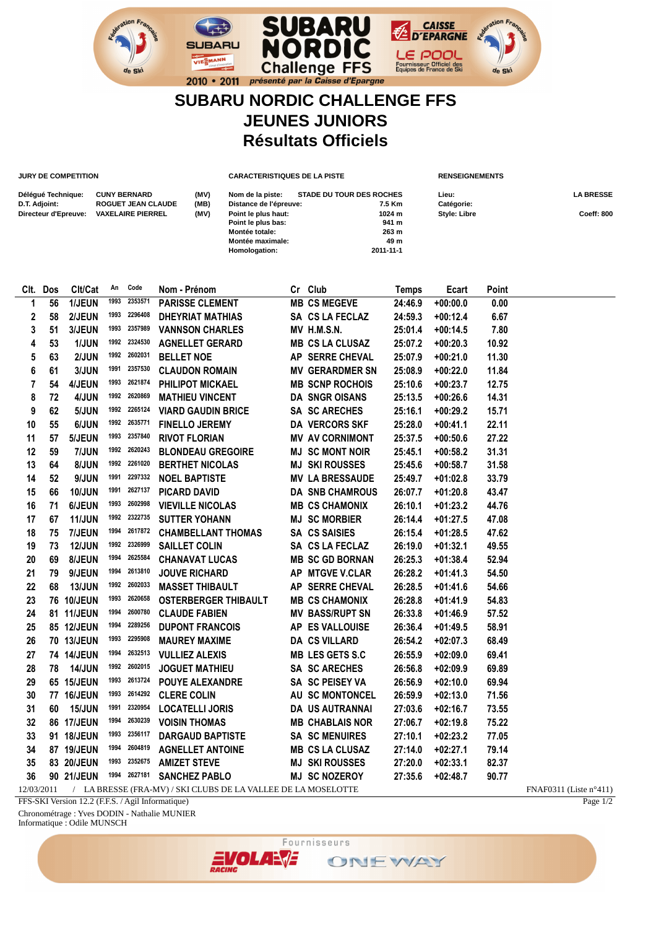## **SUBARU NORDIC CHALLENGE FFS JEUNES JUNIORS Résultats Officiels**

**SUBARU** 

**Challenge FFS** 

**Montée totale: 263 m Montée maximale: 49 m**

**JURY DE COMPETITION CARACTERISTIQUES DE LA PISTE RENSEIGNEMENTS** 

2010 • 2011 présenté par la Caisse d'Epargne

**Homologation:** 

**SUBARU** 

VIESMANN

| Délégué Technique:   | <b>CUNY BERNARD</b>       | (MV) | Nom de la piste:       | <b>STADE DU TOUR DES ROCHES</b> | Lieu:        | <b>LA BRESSE</b> |
|----------------------|---------------------------|------|------------------------|---------------------------------|--------------|------------------|
| D.T. Adjoint:        | <b>ROGUET JEAN CLAUDE</b> | (MB) | Distance de l'épreuve: | 7.5 Km                          | Catégorie:   |                  |
| Directeur d'Epreuve: | <b>VAXELAIRE PIERREL</b>  | (MV) | Point le plus haut:    | 1024 m                          | Style: Libre | Coeff: 800       |
|                      |                           |      | Point le plus bas:     | 941 m                           |              |                  |

**CAISSE**<br>D'EPARGNE

LE POOL

Fournisseur Officiel des<br>Equipes de France de Ski

|    | Clt. Dos                                                                                                | Clt/Cat       | An   | Code         | Nom - Prénom                |  | Cr Club                | <b>Temps</b> | Ecart      | Point |  |
|----|---------------------------------------------------------------------------------------------------------|---------------|------|--------------|-----------------------------|--|------------------------|--------------|------------|-------|--|
| 1  | 56                                                                                                      | 1/JEUN        | 1993 | 2353571      | <b>PARISSE CLEMENT</b>      |  | <b>MB CS MEGEVE</b>    | 24:46.9      | $+00:00.0$ | 0.00  |  |
| 2  | 58                                                                                                      | 2/JEUN        |      | 1993 2296408 | <b>DHEYRIAT MATHIAS</b>     |  | SA CS LA FECLAZ        | 24:59.3      | $+00:12.4$ | 6.67  |  |
| 3  | 51                                                                                                      | 3/JEUN        |      | 1993 2357989 | <b>VANNSON CHARLES</b>      |  | MV H.M.S.N.            | 25:01.4      | $+00:14.5$ | 7.80  |  |
| 4  | 53                                                                                                      | 1/JUN         |      | 1992 2324530 | <b>AGNELLET GERARD</b>      |  | <b>MB CS LA CLUSAZ</b> | 25:07.2      | $+00:20.3$ | 10.92 |  |
| 5  | 63                                                                                                      | 2/JUN         |      | 1992 2602031 | <b>BELLET NOE</b>           |  | AP SERRE CHEVAL        | 25:07.9      | $+00:21.0$ | 11.30 |  |
| 6  | 61                                                                                                      | 3/JUN         |      | 1991 2357530 | <b>CLAUDON ROMAIN</b>       |  | <b>MV GERARDMER SN</b> | 25:08.9      | $+00:22.0$ | 11.84 |  |
| 7  | 54                                                                                                      | 4/JEUN        |      | 1993 2621874 | PHILIPOT MICKAEL            |  | <b>MB SCNP ROCHOIS</b> | 25:10.6      | $+00:23.7$ | 12.75 |  |
| 8  | 72                                                                                                      | 4/JUN         |      | 1992 2620869 | <b>MATHIEU VINCENT</b>      |  | <b>DA SNGR OISANS</b>  | 25:13.5      | $+00:26.6$ | 14.31 |  |
| 9  | 62                                                                                                      | 5/JUN         |      | 1992 2265124 | <b>VIARD GAUDIN BRICE</b>   |  | <b>SA SC ARECHES</b>   | 25:16.1      | $+00:29.2$ | 15.71 |  |
| 10 | 55                                                                                                      | 6/JUN         |      | 1992 2635771 | <b>FINELLO JEREMY</b>       |  | DA VERCORS SKF         | 25:28.0      | $+00:41.1$ | 22.11 |  |
| 11 | 57                                                                                                      | 5/JEUN        |      | 1993 2357840 | <b>RIVOT FLORIAN</b>        |  | <b>MV AV CORNIMONT</b> | 25:37.5      | $+00:50.6$ | 27.22 |  |
| 12 | 59                                                                                                      | 7/JUN         |      | 1992 2620243 | <b>BLONDEAU GREGOIRE</b>    |  | <b>MJ SC MONT NOIR</b> | 25:45.1      | $+00:58.2$ | 31.31 |  |
| 13 | 64                                                                                                      | 8/JUN         |      | 1992 2261020 | <b>BERTHET NICOLAS</b>      |  | <b>MJ SKI ROUSSES</b>  | 25:45.6      | $+00:58.7$ | 31.58 |  |
| 14 | 52                                                                                                      | 9/JUN         |      | 1991 2297332 | <b>NOEL BAPTISTE</b>        |  | <b>MV LA BRESSAUDE</b> | 25:49.7      | $+01:02.8$ | 33.79 |  |
| 15 | 66                                                                                                      | <b>10/JUN</b> |      | 1991 2627137 | <b>PICARD DAVID</b>         |  | <b>DA SNB CHAMROUS</b> | 26:07.7      | $+01:20.8$ | 43.47 |  |
| 16 | 71                                                                                                      | <b>6/JEUN</b> |      | 1993 2602998 | <b>VIEVILLE NICOLAS</b>     |  | <b>MB CS CHAMONIX</b>  | 26:10.1      | $+01:23.2$ | 44.76 |  |
| 17 | 67                                                                                                      | <b>11/JUN</b> |      | 1992 2322735 | <b>SUTTER YOHANN</b>        |  | <b>MJ SC MORBIER</b>   | 26:14.4      | $+01:27.5$ | 47.08 |  |
| 18 | 75                                                                                                      | 7/JEUN        |      | 1994 2617872 | <b>CHAMBELLANT THOMAS</b>   |  | SA CS SAISIES          | 26:15.4      | $+01:28.5$ | 47.62 |  |
| 19 | 73                                                                                                      | <b>12/JUN</b> |      | 1992 2326999 | <b>SAILLET COLIN</b>        |  | SA CS LA FECLAZ        | 26:19.0      | $+01:32.1$ | 49.55 |  |
| 20 | 69                                                                                                      | 8/JEUN        |      | 1994 2625584 | <b>CHANAVAT LUCAS</b>       |  | <b>MB SC GD BORNAN</b> | 26:25.3      | $+01:38.4$ | 52.94 |  |
| 21 | 79                                                                                                      | 9/JEUN        |      | 1994 2613810 | <b>JOUVE RICHARD</b>        |  | AP MTGVE V.CLAR        | 26:28.2      | $+01:41.3$ | 54.50 |  |
| 22 | 68                                                                                                      | <b>13/JUN</b> |      | 1992 2602033 | <b>MASSET THIBAULT</b>      |  | AP SERRE CHEVAL        | 26:28.5      | $+01:41.6$ | 54.66 |  |
| 23 |                                                                                                         | 76 10/JEUN    |      | 1993 2620658 | <b>OSTERBERGER THIBAULT</b> |  | <b>MB CS CHAMONIX</b>  | 26:28.8      | $+01:41.9$ | 54.83 |  |
| 24 |                                                                                                         | 81 11/JEUN    |      | 1994 2600780 | <b>CLAUDE FABIEN</b>        |  | <b>MV BASS/RUPT SN</b> | 26:33.8      | $+01:46.9$ | 57.52 |  |
| 25 |                                                                                                         | 85 12/JEUN    |      | 1994 2289256 | <b>DUPONT FRANCOIS</b>      |  | AP ES VALLOUISE        | 26:36.4      | $+01:49.5$ | 58.91 |  |
| 26 |                                                                                                         | 70 13/JEUN    |      | 1993 2295908 | <b>MAUREY MAXIME</b>        |  | <b>DA CS VILLARD</b>   | 26:54.2      | $+02:07.3$ | 68.49 |  |
| 27 |                                                                                                         | 74 14/JEUN    |      | 1994 2632513 | <b>VULLIEZ ALEXIS</b>       |  | <b>MB LES GETS S.C</b> | 26:55.9      | $+02:09.0$ | 69.41 |  |
| 28 | 78                                                                                                      | 14/JUN        |      | 1992 2602015 | <b>JOGUET MATHIEU</b>       |  | SA SC ARECHES          | 26:56.8      | $+02:09.9$ | 69.89 |  |
| 29 |                                                                                                         | 65 15/JEUN    |      | 1993 2613724 | <b>POUYE ALEXANDRE</b>      |  | SA SC PEISEY VA        | 26:56.9      | $+02:10.0$ | 69.94 |  |
| 30 |                                                                                                         | 77 16/JEUN    |      | 1993 2614292 | <b>CLERE COLIN</b>          |  | AU SC MONTONCEL        | 26:59.9      | $+02:13.0$ | 71.56 |  |
| 31 | 60                                                                                                      | <b>15/JUN</b> |      | 1991 2320954 | <b>LOCATELLI JORIS</b>      |  | DA US AUTRANNAI        | 27:03.6      | $+02:16.7$ | 73.55 |  |
| 32 |                                                                                                         | 86 17/JEUN    |      | 1994 2630239 | <b>VOISIN THOMAS</b>        |  | <b>MB CHABLAIS NOR</b> | 27:06.7      | $+02:19.8$ | 75.22 |  |
| 33 |                                                                                                         | 91 18/JEUN    |      | 1993 2356117 | <b>DARGAUD BAPTISTE</b>     |  | <b>SA SC MENUIRES</b>  | 27:10.1      | $+02:23.2$ | 77.05 |  |
| 34 |                                                                                                         | 87 19/JEUN    |      | 1994 2604819 | <b>AGNELLET ANTOINE</b>     |  | <b>MB CS LA CLUSAZ</b> | 27:14.0      | $+02:27.1$ | 79.14 |  |
| 35 |                                                                                                         | 83 20/JEUN    |      | 1993 2352675 | <b>AMIZET STEVE</b>         |  | <b>MJ SKI ROUSSES</b>  | 27:20.0      | $+02:33.1$ | 82.37 |  |
| 36 |                                                                                                         | 90 21/JEUN    |      | 1994 2627181 | <b>SANCHEZ PABLO</b>        |  | <b>MJ SC NOZEROY</b>   | 27:35.6      | $+02:48.7$ | 90.77 |  |
|    | 12/03/2011<br>/ LA BRESSE (FRA-MV) / SKI CLUBS DE LA VALLEE DE LA MOSELOTTE<br>$FNAF0311$ (Liste n°411) |               |      |              |                             |  |                        |              |            |       |  |

FFS-SKI Version 12.2 (F.F.S. / Agil Informatique)

Chronométrage : Yves DODIN - Nathalie MUNIER

Informatique : Odile MUNSCH



Page 1/2